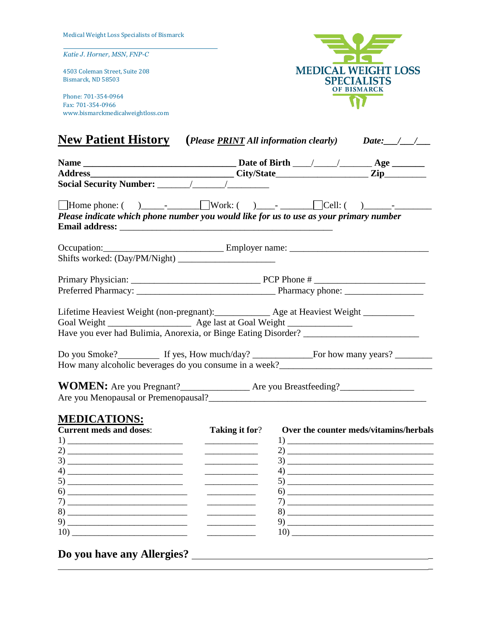*Katie J. Horner, MSN, FNP-C*

4503 Coleman Street, Suite 208 Bismarck, ND 58503

Phone: 701-354-0964 Fax: 701-354-0966 www.bismarckmedicalweightloss.com



|                     | <b>New Patient History</b> (Please <b>PRINT</b> All information clearly) Date: 1.1.          |
|---------------------|----------------------------------------------------------------------------------------------|
|                     |                                                                                              |
|                     | Please indicate which phone number you would like for us to use as your primary number       |
|                     |                                                                                              |
|                     |                                                                                              |
|                     | Lifetime Heaviest Weight (non-pregnant): ______________ Age at Heaviest Weight _____________ |
|                     |                                                                                              |
|                     |                                                                                              |
| <b>MEDICATIONS:</b> |                                                                                              |

| <b>Current meds and doses:</b>                                                                                                                                                                                                                                                                                                                             | <b>Taking it for?</b> | Over the counter meds/vitamins/herbals                                                                                                                                                                                                                                                                                                                             |
|------------------------------------------------------------------------------------------------------------------------------------------------------------------------------------------------------------------------------------------------------------------------------------------------------------------------------------------------------------|-----------------------|--------------------------------------------------------------------------------------------------------------------------------------------------------------------------------------------------------------------------------------------------------------------------------------------------------------------------------------------------------------------|
| $1) \underline{\hspace{2cm} \underline{\hspace{2cm}} \qquad \qquad }$                                                                                                                                                                                                                                                                                      |                       |                                                                                                                                                                                                                                                                                                                                                                    |
|                                                                                                                                                                                                                                                                                                                                                            |                       |                                                                                                                                                                                                                                                                                                                                                                    |
|                                                                                                                                                                                                                                                                                                                                                            |                       |                                                                                                                                                                                                                                                                                                                                                                    |
|                                                                                                                                                                                                                                                                                                                                                            |                       |                                                                                                                                                                                                                                                                                                                                                                    |
| 5)                                                                                                                                                                                                                                                                                                                                                         |                       |                                                                                                                                                                                                                                                                                                                                                                    |
| $\begin{tabular}{c} (6) \end{tabular}$                                                                                                                                                                                                                                                                                                                     |                       | $\begin{picture}(60,10)(-6) \put(0,0){\vector(1,0){100}} \put(15,0){\vector(1,0){100}} \put(15,0){\vector(1,0){100}} \put(15,0){\vector(1,0){100}} \put(15,0){\vector(1,0){100}} \put(15,0){\vector(1,0){100}} \put(15,0){\vector(1,0){100}} \put(15,0){\vector(1,0){100}} \put(15,0){\vector(1,0){100}} \put(15,0){\vector(1,0){100}} \put(15,0){\vector(1,0){10$ |
|                                                                                                                                                                                                                                                                                                                                                            |                       |                                                                                                                                                                                                                                                                                                                                                                    |
| $8) \begin{tabular}{ l l l } \hline \rule{0.2cm}{.01cm} \rule{0.2cm}{.01cm} \rule{0.2cm}{.01cm} \rule{0.2cm}{.01cm} \rule{0.2cm}{.01cm} \rule{0.2cm}{.01cm} \rule{0.2cm}{.01cm} \rule{0.2cm}{.01cm} \rule{0.2cm}{.01cm} \rule{0.2cm}{.01cm} \rule{0.2cm}{.01cm} \rule{0.2cm}{.01cm} \rule{0.2cm}{.01cm} \rule{0.2cm}{.01cm} \rule{0.2cm}{.01cm} \rule{0.2$ |                       |                                                                                                                                                                                                                                                                                                                                                                    |
| 9)                                                                                                                                                                                                                                                                                                                                                         |                       |                                                                                                                                                                                                                                                                                                                                                                    |
|                                                                                                                                                                                                                                                                                                                                                            |                       |                                                                                                                                                                                                                                                                                                                                                                    |
|                                                                                                                                                                                                                                                                                                                                                            |                       |                                                                                                                                                                                                                                                                                                                                                                    |

\_

**Do you have any Allergies?** \_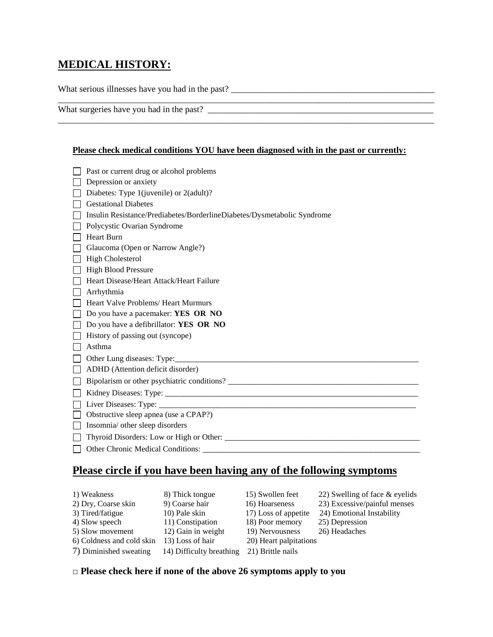# **MEDICAL HISTORY:**

What serious illnesses have you had in the past? \_\_\_\_\_\_\_\_\_\_\_\_\_\_\_\_\_\_\_\_\_\_\_\_\_\_\_\_\_\_\_\_\_\_\_\_\_\_\_\_\_\_\_\_\_\_

What surgeries have you had in the past? \_\_\_\_\_\_\_\_\_\_\_\_\_\_\_\_\_\_\_\_\_\_\_\_\_\_\_\_\_\_\_\_\_\_\_\_\_\_\_\_\_\_\_\_\_\_\_\_\_\_\_

### **Please check medical conditions YOU have been diagnosed with in the past or currently:**

\_\_\_\_\_\_\_\_\_\_\_\_\_\_\_\_\_\_\_\_\_\_\_\_\_\_\_\_\_\_\_\_\_\_\_\_\_\_\_\_\_\_\_\_\_\_\_\_\_\_\_\_\_\_\_\_\_\_\_\_\_\_\_\_\_\_\_\_\_\_\_\_\_\_\_\_\_\_\_\_\_\_\_\_\_

| Past or current drug or alcohol problems                                |
|-------------------------------------------------------------------------|
| Depression or anxiety                                                   |
| Diabetes: Type 1(juvenile) or 2(adult)?                                 |
| <b>Gestational Diabetes</b>                                             |
| Insulin Resistance/Prediabetes/BorderlineDiabetes/Dysmetabolic Syndrome |
| Polycystic Ovarian Syndrome                                             |
| <b>Heart Burn</b>                                                       |
| Glaucoma (Open or Narrow Angle?)                                        |
| <b>High Cholesterol</b>                                                 |
| <b>High Blood Pressure</b>                                              |
| Heart Disease/Heart Attack/Heart Failure                                |
| Arrhythmia                                                              |
| Heart Valve Problems/ Heart Murmurs                                     |
| Do you have a pacemaker: YES OR NO                                      |
| Do you have a defibrillator: YES OR NO                                  |
| History of passing out (syncope)                                        |
| Asthma                                                                  |
|                                                                         |
| ADHD (Attention deficit disorder)                                       |
|                                                                         |
|                                                                         |
|                                                                         |
| Obstructive sleep apnea (use a CPAP?)                                   |
| Insomnia/ other sleep disorders                                         |
|                                                                         |
|                                                                         |

# **Please circle if you have been having any of the following symptoms**

| 1) Weakness               | 8) Thick tongue          | 15) Swollen feet       | 22) Swelling of face & eyelids |
|---------------------------|--------------------------|------------------------|--------------------------------|
| 2) Dry, Coarse skin       | 9) Coarse hair           | 16) Hoarseness         | 23) Excessive/painful menses   |
| 3) Tired/fatigue          | 10) Pale skin            | 17) Loss of appetite   | 24) Emotional Instability      |
| 4) Slow speech            | 11) Constipation         | 18) Poor memory        | 25) Depression                 |
| 5) Slow movement          | 12) Gain in weight       | 19) Nervousness        | 26) Headaches                  |
| 6) Coldness and cold skin | 13) Loss of hair         | 20) Heart palpitations |                                |
| 7) Diminished sweating    | 14) Difficulty breathing | 21) Brittle nails      |                                |

## □ **Please check here if none of the above 26 symptoms apply to you**